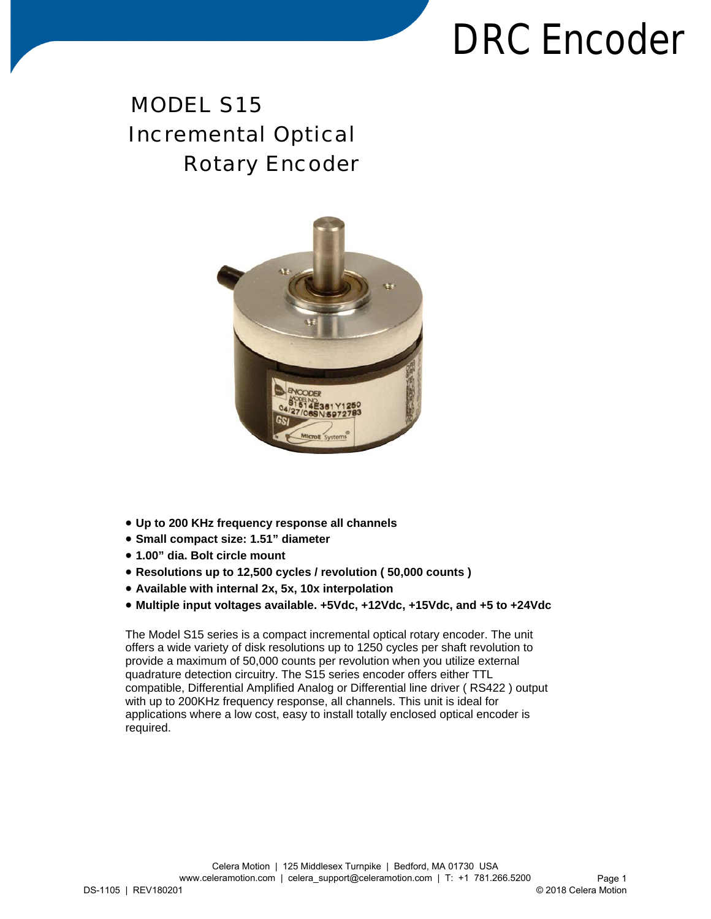### MODEL S15 Incremental Optical Rotary Encoder



- **Up to 200 KHz frequency response all channels**
- **Small compact size: 1.51" diameter**
- **1.00" dia. Bolt circle mount**
- **Resolutions up to 12,500 cycles / revolution ( 50,000 counts )**
- **Available with internal 2x, 5x, 10x interpolation**
- **Multiple input voltages available. +5Vdc, +12Vdc, +15Vdc, and +5 to +24Vdc**

The Model S15 series is a compact incremental optical rotary encoder. The unit offers a wide variety of disk resolutions up to 1250 cycles per shaft revolution to provide a maximum of 50,000 counts per revolution when you utilize external quadrature detection circuitry. The S15 series encoder offers either TTL compatible, Differential Amplified Analog or Differential line driver ( RS422 ) output with up to 200KHz frequency response, all channels. This unit is ideal for applications where a low cost, easy to install totally enclosed optical encoder is required.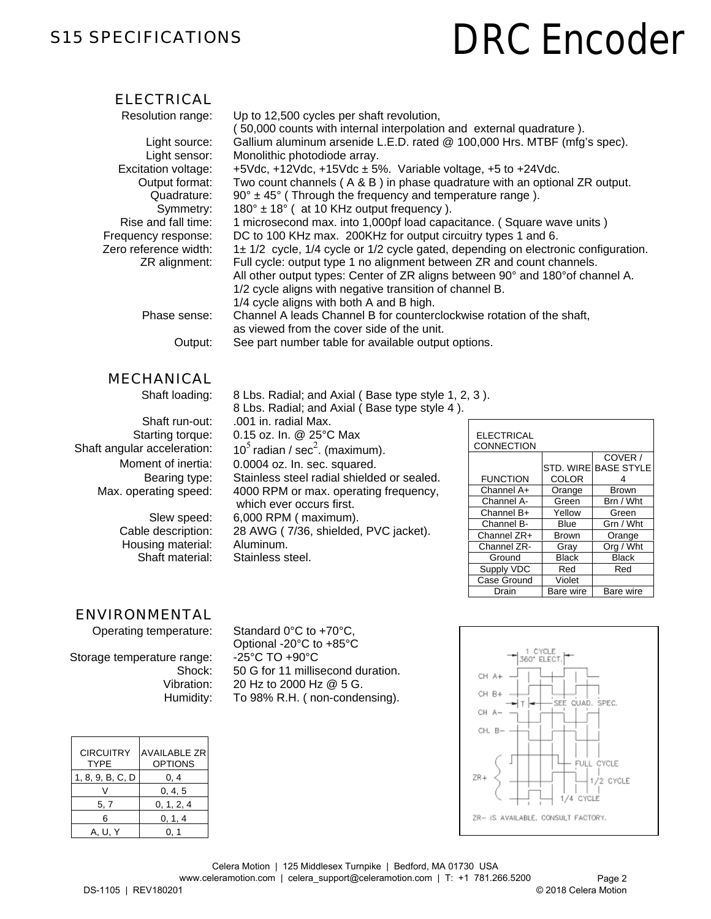#### S15 SPECIFICATIONS

## **DRC Encoder**

#### ELECTRICAL

| Gallium aluminum arsenide L.E.D. rated @ 100,000 Hrs. MTBF (mfg's spec).           |
|------------------------------------------------------------------------------------|
|                                                                                    |
|                                                                                    |
|                                                                                    |
|                                                                                    |
| Two count channels (A & B) in phase quadrature with an optional ZR output.         |
|                                                                                    |
|                                                                                    |
| 1 microsecond max. into 1,000pf load capacitance. (Square wave units)              |
|                                                                                    |
| 1± 1/2 cycle, 1/4 cycle or 1/2 cycle gated, depending on electronic configuration. |
|                                                                                    |
| All other output types: Center of ZR aligns between 90° and 180° of channel A.     |
|                                                                                    |
|                                                                                    |
|                                                                                    |
|                                                                                    |
|                                                                                    |
|                                                                                    |

#### MECHANICAL

Shaft loading:

Shaft run-out: Starting torque: Shaft angular acceleration: Moment of inertia: Bearing type: Max. operating speed:

> Slew speed: Cable description: Housing material: Shaft material:

8 Lbs. Radial; and Axial ( Base type style 1, 2, 3 ). 8 Lbs. Radial; and Axial ( Base type style 4 ).

.001 in. radial Max. 0.15 oz. In. @ 25°C Max 10<sup>5</sup> radian / sec<sup>2</sup>. (maximum). 0.0004 oz. In. sec. squared. Stainless steel radial shielded or sealed. 4000 RPM or max. operating frequency, which ever occurs first. 6,000 RPM ( maximum). 28 AWG ( 7/36, shielded, PVC jacket). Aluminum. Stainless steel.

| <b>ELECTRICAL</b><br>CONNECTION |              |                   |
|---------------------------------|--------------|-------------------|
|                                 |              | COVER /           |
|                                 | STD, WIRE    | <b>BASE STYLE</b> |
| <b>FUNCTION</b>                 | <b>COLOR</b> |                   |
| Channel A+                      | Orange       | <b>Brown</b>      |
| Channel A-                      | Green        | Brn / Wht         |
| Channel B+                      | Yellow       | Green             |
| Channel B-                      | Blue         | Grn / Wht         |
| Channel ZR+                     | <b>Brown</b> | Orange            |
| Channel ZR-                     | Gray         | Org / Wht         |
| Ground                          | <b>Black</b> | <b>Black</b>      |
| Supply VDC                      | Red          | Red               |
| Case Ground                     | Violet       |                   |
| Drain                           | Bare wire    | Bare wire         |

CYCLE 360° ELEC

SEE QUAD, SPEC.

#### ENVIRONMENTAL

Operating temperature:

Storage temperature range: Shock: Vibration: Humidity:

Standard 0°C to +70°C, Optional -20°C to +85°C -25°C TO +90°C 50 G for 11 millisecond duration. 20 Hz to 2000 Hz @ 5 G. To 98% R.H. ( non-condensing).

| <b>CIRCUITRY</b><br><b>TYPE</b> | <b>AVAILABLE ZR</b><br><b>OPTIONS</b> |
|---------------------------------|---------------------------------------|
| 1, 8, 9, B, C, D                | 0.4                                   |
|                                 | 0, 4, 5                               |
| 5, 7                            | 0, 1, 2, 4                            |
| ี                               | 0, 1, 4                               |
| A. U. Y                         |                                       |

CH. B-FULL CYCLE 7R4 1/2 CYCLE 74. CYCLE ZR- IS AVAILABLE, CONSULT FACTORY.

CH AL CH R+

CH A-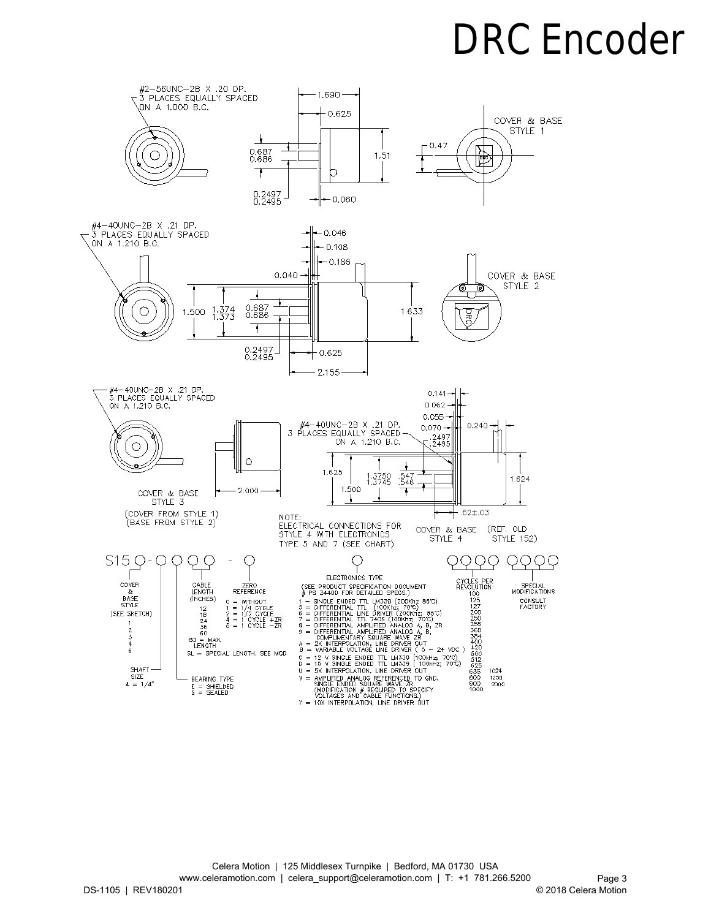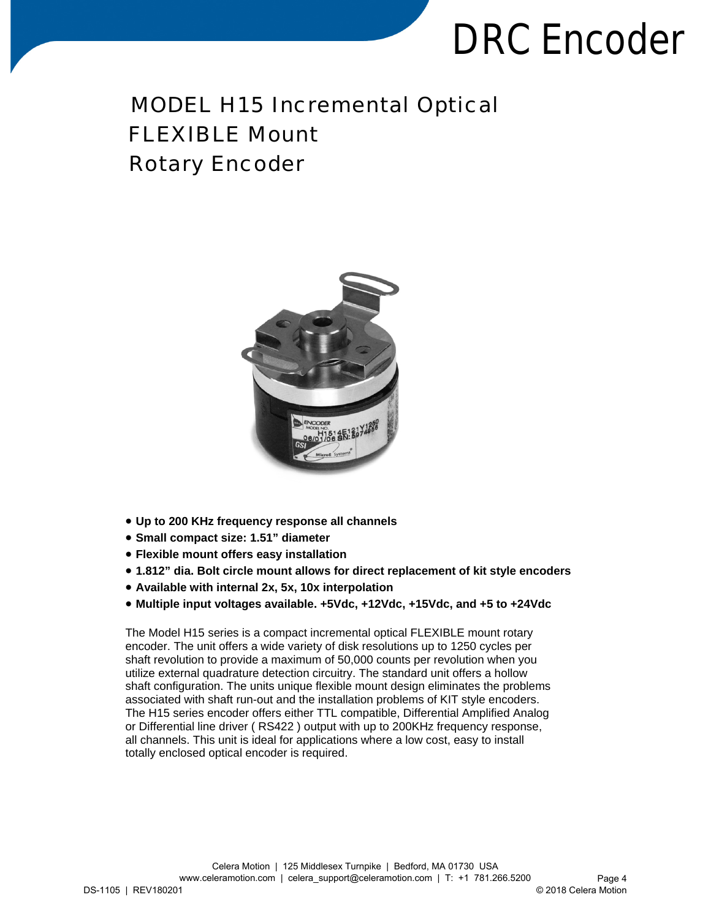MODEL H15 Incremental Optical FLEXIBLE Mount Rotary Encoder

- **Up to 200 KHz frequency response all channels**
- **Small compact size: 1.51" diameter**
- **Flexible mount offers easy installation**
- **1.812" dia. Bolt circle mount allows for direct replacement of kit style encoders**
- **Available with internal 2x, 5x, 10x interpolation**
- **Multiple input voltages available. +5Vdc, +12Vdc, +15Vdc, and +5 to +24Vdc**

The Model H15 series is a compact incremental optical FLEXIBLE mount rotary encoder. The unit offers a wide variety of disk resolutions up to 1250 cycles per shaft revolution to provide a maximum of 50,000 counts per revolution when you utilize external quadrature detection circuitry. The standard unit offers a hollow shaft configuration. The units unique flexible mount design eliminates the problems associated with shaft run-out and the installation problems of KIT style encoders. The H15 series encoder offers either TTL compatible, Differential Amplified Analog or Differential line driver ( RS422 ) output with up to 200KHz frequency response, all channels. This unit is ideal for applications where a low cost, easy to install totally enclosed optical encoder is required.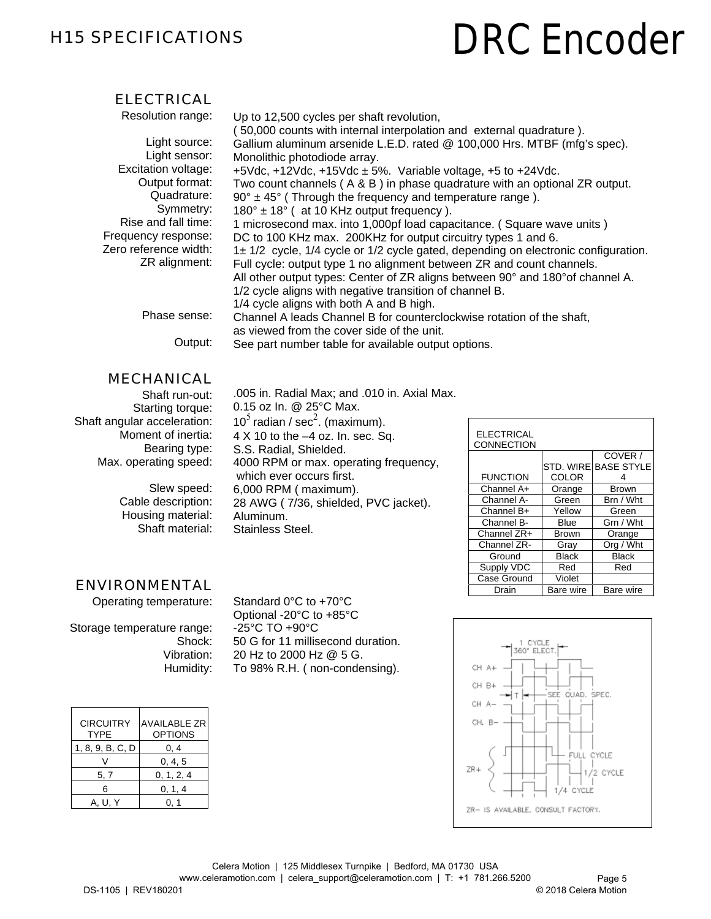#### H15 SPECIFICATIONS

# **DRC Encoder**

#### ELECTRICAL

| Resolution range:     | Up to 12,500 cycles per shaft revolution,                                          |
|-----------------------|------------------------------------------------------------------------------------|
|                       | 50,000 counts with internal interpolation and external quadrature).                |
| Light source:         | Gallium aluminum arsenide L.E.D. rated @ 100,000 Hrs. MTBF (mfg's spec).           |
| Light sensor:         | Monolithic photodiode array.                                                       |
| Excitation voltage:   | +5Vdc, +12Vdc, +15Vdc $\pm$ 5%. Variable voltage, +5 to +24Vdc.                    |
| Output format:        | Two count channels (A & B) in phase quadrature with an optional ZR output.         |
| Quadrature:           | $90^\circ \pm 45^\circ$ (Through the frequency and temperature range).             |
| Symmetry:             | $180^\circ \pm 18^\circ$ (at 10 KHz output frequency).                             |
| Rise and fall time:   | 1 microsecond max. into 1,000pf load capacitance. (Square wave units)              |
| Frequency response:   | DC to 100 KHz max. 200KHz for output circuitry types 1 and 6.                      |
| Zero reference width: | 1± 1/2 cycle, 1/4 cycle or 1/2 cycle gated, depending on electronic configuration. |
| ZR alignment:         | Full cycle: output type 1 no alignment between ZR and count channels.              |
|                       | All other output types: Center of ZR aligns between 90° and 180° of channel A.     |
|                       | 1/2 cycle aligns with negative transition of channel B.                            |
|                       | 1/4 cycle aligns with both A and B high.                                           |
| Phase sense:          | Channel A leads Channel B for counterclockwise rotation of the shaft,              |
|                       | as viewed from the cover side of the unit.                                         |
| :Output               | See part number table for available output options.                                |

#### MECHANICAL

Shaft run-out: Starting torque: Shaft angular acceleration: Moment of inertia: Bearing type: Max. operating speed:

> Slew speed: Cable description: Housing material: Shaft material:

.005 in. Radial Max; and .010 in. Axial Max. 0.15 oz In. @ 25°C Max. 10<sup>5</sup> radian / sec<sup>2</sup>. (maximum). 4 X 10 to the –4 oz. In. sec. Sq. S.S. Radial, Shielded. 4000 RPM or max. operating frequency, which ever occurs first. 6,000 RPM ( maximum). 28 AWG ( 7/36, shielded, PVC jacket). Aluminum. Stainless Steel.

| <b>ELECTRICAL</b><br>CONNECTION |              |                   |
|---------------------------------|--------------|-------------------|
|                                 |              | COVER /           |
|                                 | STD, WIRE    | <b>BASE STYLE</b> |
| <b>FUNCTION</b>                 | COLOR        |                   |
| Channel A+                      | Orange       | <b>Brown</b>      |
| Channel A-                      | Green        | Brn / Wht         |
| Channel B+                      | Yellow       | Green             |
| Channel B-                      | Blue         | Grn / Wht         |
| Channel ZR+                     | <b>Brown</b> | Orange            |
| Channel ZR-                     | Gray         | Org / Wht         |
| Ground                          | <b>Black</b> | <b>Black</b>      |
| Supply VDC                      | Red          | Red               |
| Case Ground                     | Violet       |                   |
| Drain                           | Bare wire    | Bare wire         |

#### ENVIRONMENTAL

Operating temperature:

Storage temperature range: Shock: Vibration: Humidity:

Standard 0°C to +70°C Optional -20°C to +85°C -25°C TO +90°C 50 G for 11 millisecond duration. 20 Hz to 2000 Hz @ 5 G. To 98% R.H. ( non-condensing).

| <b>CIRCUITRY</b><br><b>TYPE</b> | <b>AVAILABLE ZR</b><br><b>OPTIONS</b> |
|---------------------------------|---------------------------------------|
| 1, 8, 9, B, C, D                | 0.4                                   |
|                                 | 0, 4, 5                               |
| 5, 7                            | 0, 1, 2, 4                            |
| ิค                              | 0, 1, 4                               |
| U. Y                            |                                       |

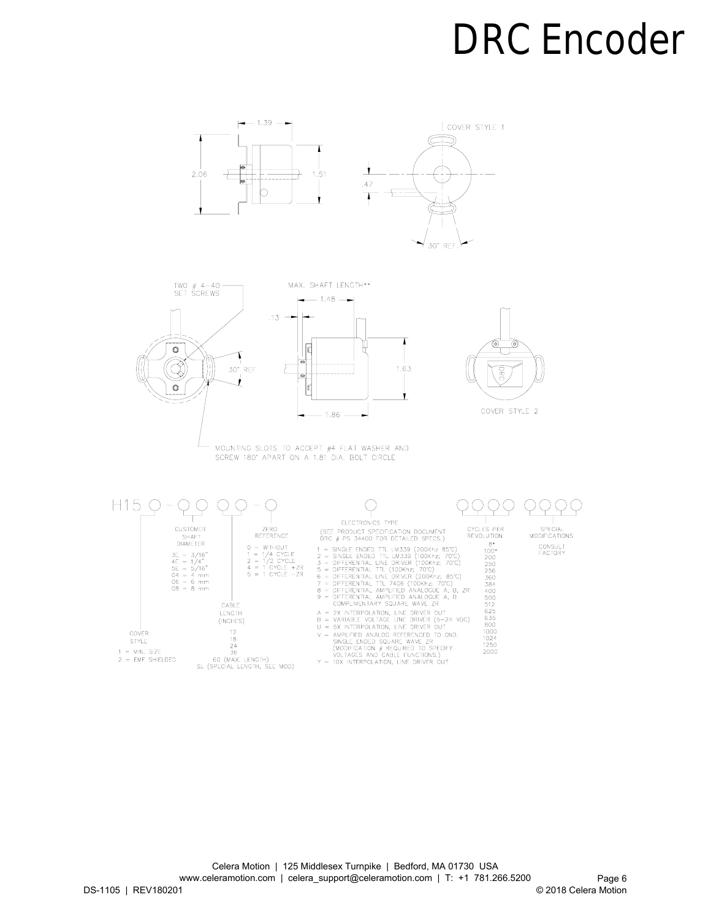



MOUNTING SLOTS TO ACCEPT #4 FLAT WASHER AND SCREW 180° APART ON A 1.81 DIA. BOLT CIRCLE

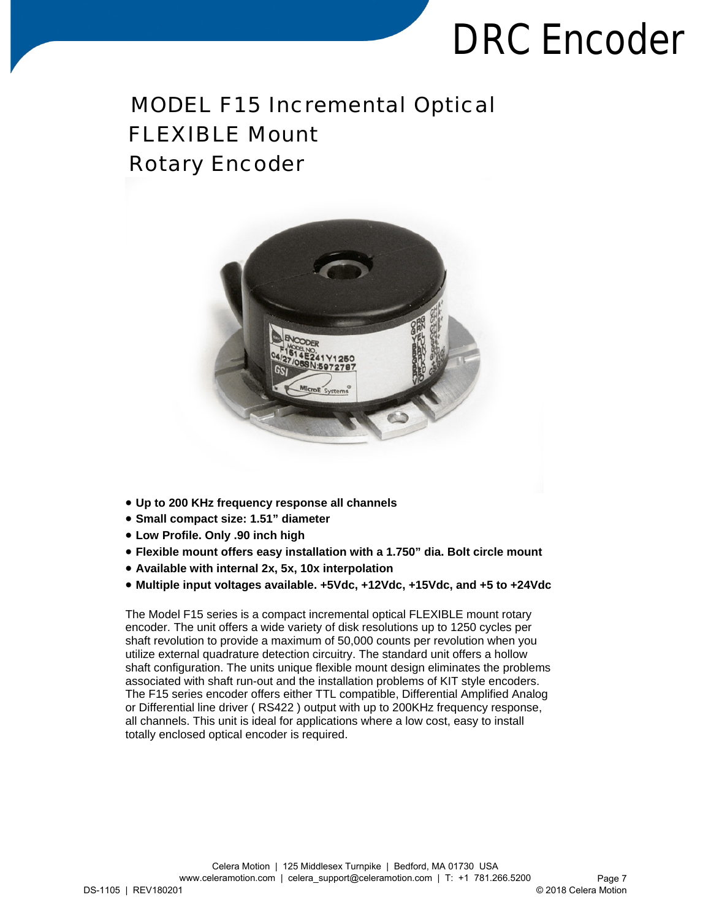### MODEL F15 Incremental Optical FLEXIBLE Mount Rotary Encoder



- **Up to 200 KHz frequency response all channels**
- **Small compact size: 1.51" diameter**
- **Low Profile. Only .90 inch high**
- **Flexible mount offers easy installation with a 1.750" dia. Bolt circle mount**
- **Available with internal 2x, 5x, 10x interpolation**
- **Multiple input voltages available. +5Vdc, +12Vdc, +15Vdc, and +5 to +24Vdc**

The Model F15 series is a compact incremental optical FLEXIBLE mount rotary encoder. The unit offers a wide variety of disk resolutions up to 1250 cycles per shaft revolution to provide a maximum of 50,000 counts per revolution when you utilize external quadrature detection circuitry. The standard unit offers a hollow shaft configuration. The units unique flexible mount design eliminates the problems associated with shaft run-out and the installation problems of KIT style encoders. The F15 series encoder offers either TTL compatible, Differential Amplified Analog or Differential line driver ( RS422 ) output with up to 200KHz frequency response, all channels. This unit is ideal for applications where a low cost, easy to install totally enclosed optical encoder is required.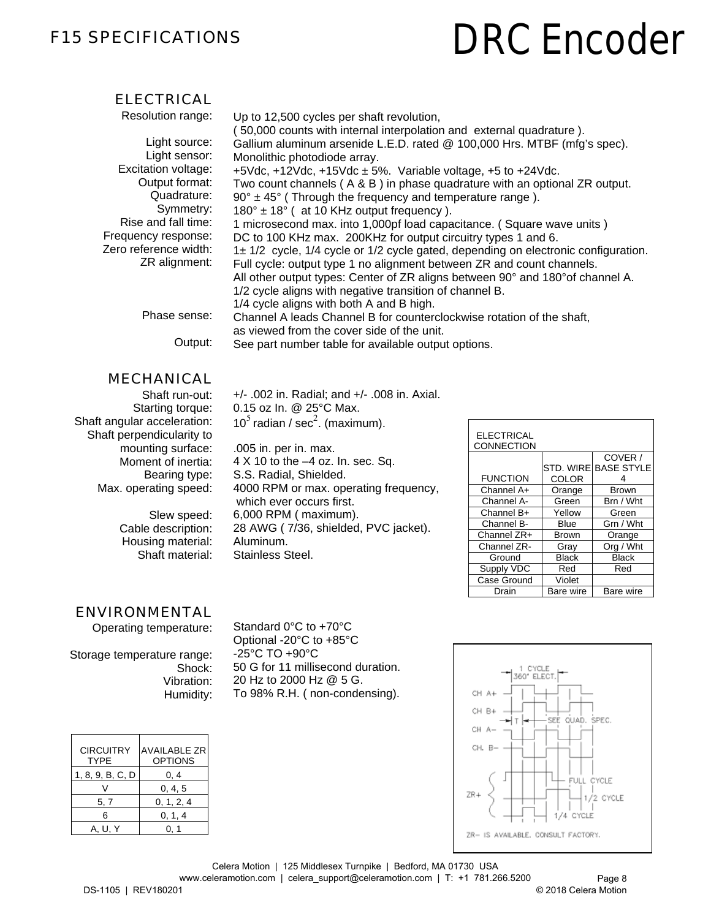#### F15 SPECIFICATIONS

## **DRC Encoder**

#### ELECTRICAL

| Resolution range:     | Up to 12,500 cycles per shaft revolution,                                          |
|-----------------------|------------------------------------------------------------------------------------|
|                       | 50,000 counts with internal interpolation and external quadrature).                |
| Light source:         | Gallium aluminum arsenide L.E.D. rated @ 100,000 Hrs. MTBF (mfg's spec).           |
| Light sensor:         | Monolithic photodiode array.                                                       |
| Excitation voltage:   | +5Vdc, +12Vdc, +15Vdc $\pm$ 5%. Variable voltage, +5 to +24Vdc.                    |
| Output format:        | Two count channels $(A \& B)$ in phase quadrature with an optional ZR output.      |
| Quadrature:           | $90^\circ \pm 45^\circ$ (Through the frequency and temperature range).             |
| Symmetry:             | $180^\circ \pm 18^\circ$ (at 10 KHz output frequency).                             |
| Rise and fall time:   | 1 microsecond max. into 1,000pf load capacitance. (Square wave units)              |
| Frequency response:   | DC to 100 KHz max. 200KHz for output circuitry types 1 and 6.                      |
| Zero reference width: | 1± 1/2 cycle, 1/4 cycle or 1/2 cycle gated, depending on electronic configuration. |
| ZR alignment:         | Full cycle: output type 1 no alignment between ZR and count channels.              |
|                       | All other output types: Center of ZR aligns between 90° and 180° of channel A.     |
|                       | 1/2 cycle aligns with negative transition of channel B.                            |
|                       | 1/4 cycle aligns with both A and B high.                                           |
| Phase sense:          | Channel A leads Channel B for counterclockwise rotation of the shaft,              |
|                       | as viewed from the cover side of the unit.                                         |
| Output:               | See part number table for available output options.                                |

#### MECHANICAL

Shaft run-out: Starting torque: Shaft angular acceleration: Shaft perpendicularity to mounting surface: Moment of inertia: Bearing type: Max. operating speed:

> Slew speed: Cable description: Housing material: Shaft material:

+/- .002 in. Radial; and +/- .008 in. Axial. 0.15 oz In. @ 25°C Max. 10<sup>5</sup> radian / sec<sup>2</sup>. (maximum).

.005 in. per in. max. 4 X 10 to the –4 oz. In. sec. Sq. S.S. Radial, Shielded. 4000 RPM or max. operating frequency, which ever occurs first. 6,000 RPM ( maximum). 28 AWG ( 7/36, shielded, PVC jacket). Aluminum. Stainless Steel.

| <b>ELECTRICAL</b><br>CONNECTION |              |                      |
|---------------------------------|--------------|----------------------|
|                                 |              | COVER /              |
|                                 |              | STD. WIRE BASE STYLE |
| <b>FUNCTION</b>                 | COLOR        |                      |
| Channel A+                      | Orange       | <b>Brown</b>         |
| Channel A-                      | Green        | Brn / Wht            |
| Channel B+                      | Yellow       | Green                |
| Channel B-                      | Blue         | Grn / Wht            |
| Channel ZR+                     | <b>Brown</b> | Orange               |
| Channel ZR-                     | Gray         | Org / Wht            |
| Ground                          | <b>Black</b> | <b>Black</b>         |
| Supply VDC                      | Red          | Red                  |
| Case Ground                     | Violet       |                      |
| Drain                           | Bare wire    | Bare wire            |

#### ENVIRONMENTAL

Operating temperature:

Storage temperature range: Shock: Vibration: Humidity:

Standard 0°C to +70°C Optional -20°C to +85°C -25°C TO +90°C 50 G for 11 millisecond duration. 20 Hz to 2000 Hz @ 5 G. To 98% R.H. ( non-condensing).

| <b>CIRCUITRY</b><br><b>TYPF</b> | <b>AVAILABLE ZR</b><br><b>OPTIONS</b> |
|---------------------------------|---------------------------------------|
| 1, 8, 9, B, C, D                | 0.4                                   |
|                                 | 0, 4, 5                               |
| 5, 7                            | 0, 1, 2, 4                            |
| ิค                              | 0, 1, 4                               |
| A. U. Y                         |                                       |

DS-1105 | REV180201 Celera Motion | 125 Middlesex Turnpike | Bedford, MA 01730 USA www.celeramotion.com | celera\_support@celeramotion.com | T: +1 781.266.5200 Page 8 © 2018 Celera Motion